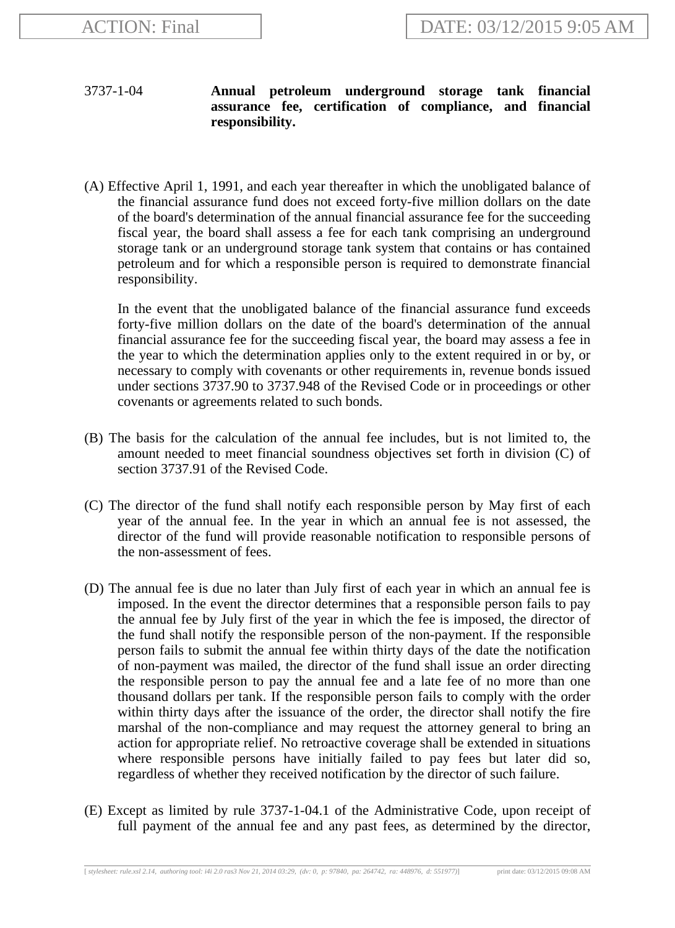## 3737-1-04 **Annual petroleum underground storage tank financial assurance fee, certification of compliance, and financial responsibility.**

(A) Effective April 1, 1991, and each year thereafter in which the unobligated balance of the financial assurance fund does not exceed forty-five million dollars on the date of the board's determination of the annual financial assurance fee for the succeeding fiscal year, the board shall assess a fee for each tank comprising an underground storage tank or an underground storage tank system that contains or has contained petroleum and for which a responsible person is required to demonstrate financial responsibility.

In the event that the unobligated balance of the financial assurance fund exceeds forty-five million dollars on the date of the board's determination of the annual financial assurance fee for the succeeding fiscal year, the board may assess a fee in the year to which the determination applies only to the extent required in or by, or necessary to comply with covenants or other requirements in, revenue bonds issued under sections 3737.90 to 3737.948 of the Revised Code or in proceedings or other covenants or agreements related to such bonds.

- (B) The basis for the calculation of the annual fee includes, but is not limited to, the amount needed to meet financial soundness objectives set forth in division (C) of section 3737.91 of the Revised Code.
- (C) The director of the fund shall notify each responsible person by May first of each year of the annual fee. In the year in which an annual fee is not assessed, the director of the fund will provide reasonable notification to responsible persons of the non-assessment of fees.
- (D) The annual fee is due no later than July first of each year in which an annual fee is imposed. In the event the director determines that a responsible person fails to pay the annual fee by July first of the year in which the fee is imposed, the director of the fund shall notify the responsible person of the non-payment. If the responsible person fails to submit the annual fee within thirty days of the date the notification of non-payment was mailed, the director of the fund shall issue an order directing the responsible person to pay the annual fee and a late fee of no more than one thousand dollars per tank. If the responsible person fails to comply with the order within thirty days after the issuance of the order, the director shall notify the fire marshal of the non-compliance and may request the attorney general to bring an action for appropriate relief. No retroactive coverage shall be extended in situations where responsible persons have initially failed to pay fees but later did so, regardless of whether they received notification by the director of such failure.
- (E) Except as limited by rule 3737-1-04.1 of the Administrative Code, upon receipt of full payment of the annual fee and any past fees, as determined by the director,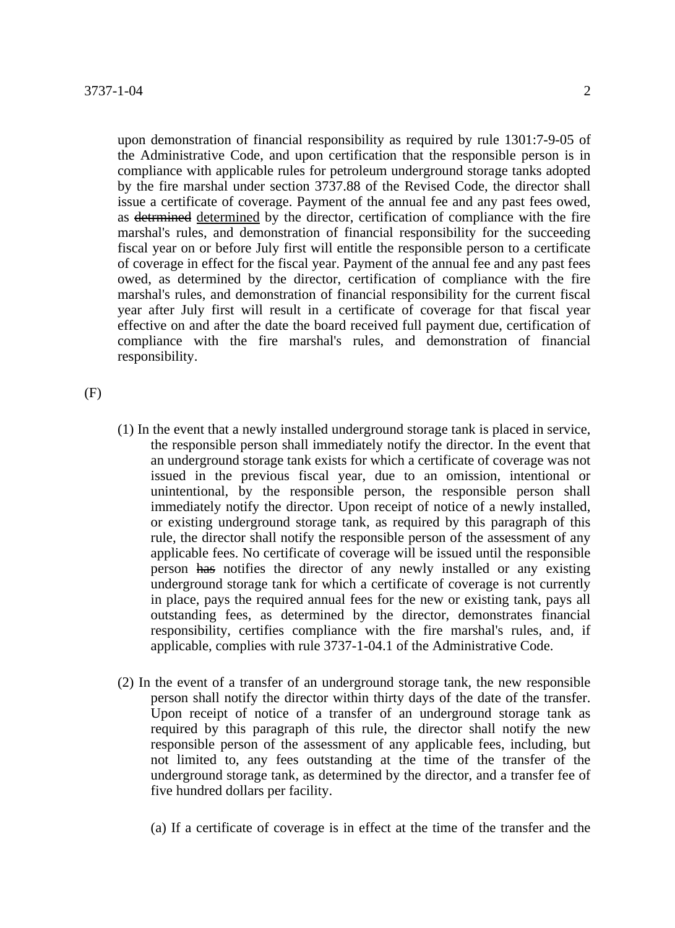upon demonstration of financial responsibility as required by rule 1301:7-9-05 of the Administrative Code, and upon certification that the responsible person is in compliance with applicable rules for petroleum underground storage tanks adopted by the fire marshal under section 3737.88 of the Revised Code, the director shall issue a certificate of coverage. Payment of the annual fee and any past fees owed, as detrmined determined by the director, certification of compliance with the fire marshal's rules, and demonstration of financial responsibility for the succeeding fiscal year on or before July first will entitle the responsible person to a certificate of coverage in effect for the fiscal year. Payment of the annual fee and any past fees owed, as determined by the director, certification of compliance with the fire marshal's rules, and demonstration of financial responsibility for the current fiscal year after July first will result in a certificate of coverage for that fiscal year effective on and after the date the board received full payment due, certification of compliance with the fire marshal's rules, and demonstration of financial responsibility.

(F)

- (1) In the event that a newly installed underground storage tank is placed in service, the responsible person shall immediately notify the director. In the event that an underground storage tank exists for which a certificate of coverage was not issued in the previous fiscal year, due to an omission, intentional or unintentional, by the responsible person, the responsible person shall immediately notify the director. Upon receipt of notice of a newly installed, or existing underground storage tank, as required by this paragraph of this rule, the director shall notify the responsible person of the assessment of any applicable fees. No certificate of coverage will be issued until the responsible person has notifies the director of any newly installed or any existing underground storage tank for which a certificate of coverage is not currently in place, pays the required annual fees for the new or existing tank, pays all outstanding fees, as determined by the director, demonstrates financial responsibility, certifies compliance with the fire marshal's rules, and, if applicable, complies with rule 3737-1-04.1 of the Administrative Code.
- (2) In the event of a transfer of an underground storage tank, the new responsible person shall notify the director within thirty days of the date of the transfer. Upon receipt of notice of a transfer of an underground storage tank as required by this paragraph of this rule, the director shall notify the new responsible person of the assessment of any applicable fees, including, but not limited to, any fees outstanding at the time of the transfer of the underground storage tank, as determined by the director, and a transfer fee of five hundred dollars per facility.
	- (a) If a certificate of coverage is in effect at the time of the transfer and the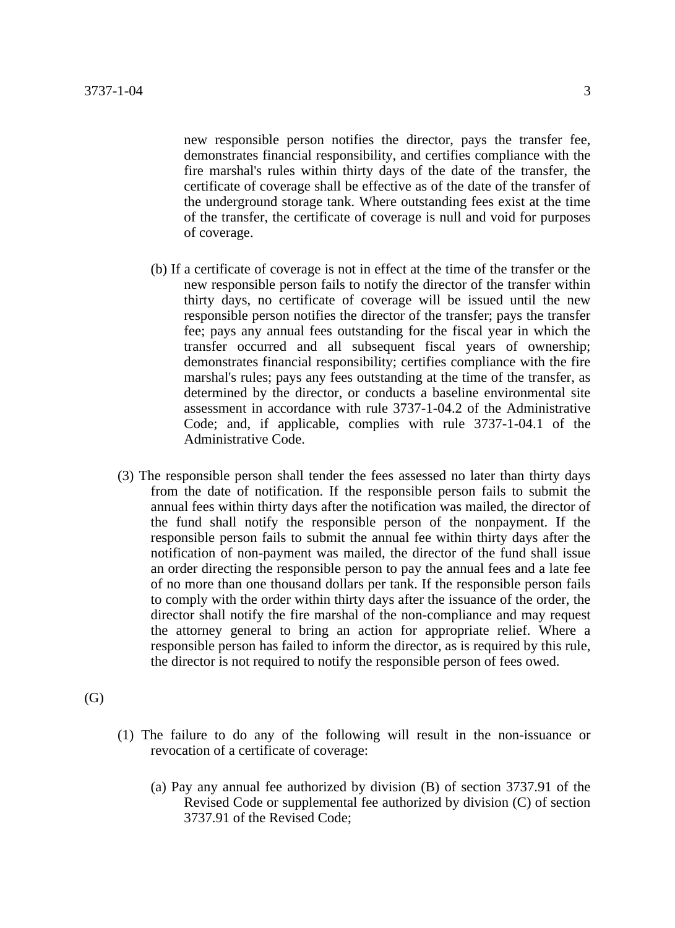new responsible person notifies the director, pays the transfer fee, demonstrates financial responsibility, and certifies compliance with the fire marshal's rules within thirty days of the date of the transfer, the certificate of coverage shall be effective as of the date of the transfer of the underground storage tank. Where outstanding fees exist at the time of the transfer, the certificate of coverage is null and void for purposes of coverage.

- (b) If a certificate of coverage is not in effect at the time of the transfer or the new responsible person fails to notify the director of the transfer within thirty days, no certificate of coverage will be issued until the new responsible person notifies the director of the transfer; pays the transfer fee; pays any annual fees outstanding for the fiscal year in which the transfer occurred and all subsequent fiscal years of ownership; demonstrates financial responsibility; certifies compliance with the fire marshal's rules; pays any fees outstanding at the time of the transfer, as determined by the director, or conducts a baseline environmental site assessment in accordance with rule 3737-1-04.2 of the Administrative Code; and, if applicable, complies with rule 3737-1-04.1 of the Administrative Code.
- (3) The responsible person shall tender the fees assessed no later than thirty days from the date of notification. If the responsible person fails to submit the annual fees within thirty days after the notification was mailed, the director of the fund shall notify the responsible person of the nonpayment. If the responsible person fails to submit the annual fee within thirty days after the notification of non-payment was mailed, the director of the fund shall issue an order directing the responsible person to pay the annual fees and a late fee of no more than one thousand dollars per tank. If the responsible person fails to comply with the order within thirty days after the issuance of the order, the director shall notify the fire marshal of the non-compliance and may request the attorney general to bring an action for appropriate relief. Where a responsible person has failed to inform the director, as is required by this rule, the director is not required to notify the responsible person of fees owed.
- (G)
- (1) The failure to do any of the following will result in the non-issuance or revocation of a certificate of coverage:
	- (a) Pay any annual fee authorized by division (B) of section 3737.91 of the Revised Code or supplemental fee authorized by division (C) of section 3737.91 of the Revised Code;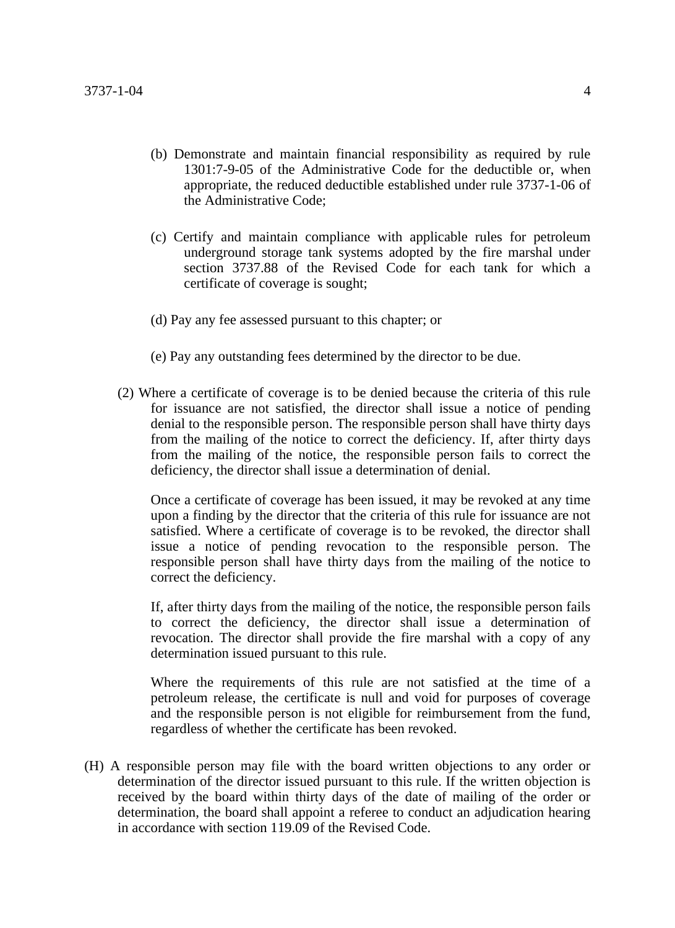- (b) Demonstrate and maintain financial responsibility as required by rule 1301:7-9-05 of the Administrative Code for the deductible or, when appropriate, the reduced deductible established under rule 3737-1-06 of the Administrative Code;
- (c) Certify and maintain compliance with applicable rules for petroleum underground storage tank systems adopted by the fire marshal under section 3737.88 of the Revised Code for each tank for which a certificate of coverage is sought;
- (d) Pay any fee assessed pursuant to this chapter; or
- (e) Pay any outstanding fees determined by the director to be due.
- (2) Where a certificate of coverage is to be denied because the criteria of this rule for issuance are not satisfied, the director shall issue a notice of pending denial to the responsible person. The responsible person shall have thirty days from the mailing of the notice to correct the deficiency. If, after thirty days from the mailing of the notice, the responsible person fails to correct the deficiency, the director shall issue a determination of denial.

Once a certificate of coverage has been issued, it may be revoked at any time upon a finding by the director that the criteria of this rule for issuance are not satisfied. Where a certificate of coverage is to be revoked, the director shall issue a notice of pending revocation to the responsible person. The responsible person shall have thirty days from the mailing of the notice to correct the deficiency.

If, after thirty days from the mailing of the notice, the responsible person fails to correct the deficiency, the director shall issue a determination of revocation. The director shall provide the fire marshal with a copy of any determination issued pursuant to this rule.

Where the requirements of this rule are not satisfied at the time of a petroleum release, the certificate is null and void for purposes of coverage and the responsible person is not eligible for reimbursement from the fund, regardless of whether the certificate has been revoked.

(H) A responsible person may file with the board written objections to any order or determination of the director issued pursuant to this rule. If the written objection is received by the board within thirty days of the date of mailing of the order or determination, the board shall appoint a referee to conduct an adjudication hearing in accordance with section 119.09 of the Revised Code.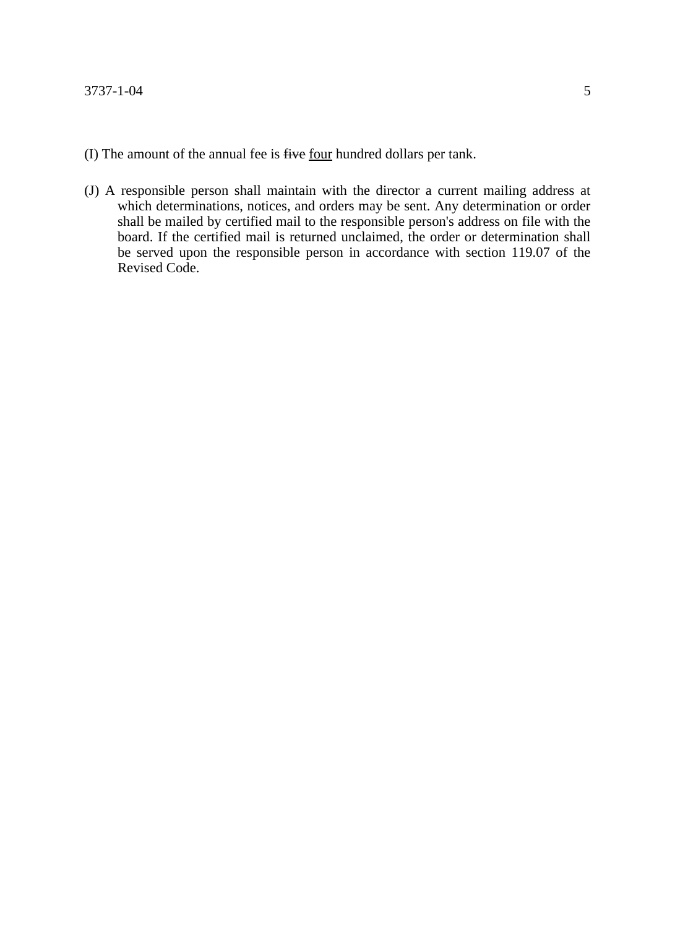- (I) The amount of the annual fee is five four hundred dollars per tank.
- (J) A responsible person shall maintain with the director a current mailing address at which determinations, notices, and orders may be sent. Any determination or order shall be mailed by certified mail to the responsible person's address on file with the board. If the certified mail is returned unclaimed, the order or determination shall be served upon the responsible person in accordance with section 119.07 of the Revised Code.